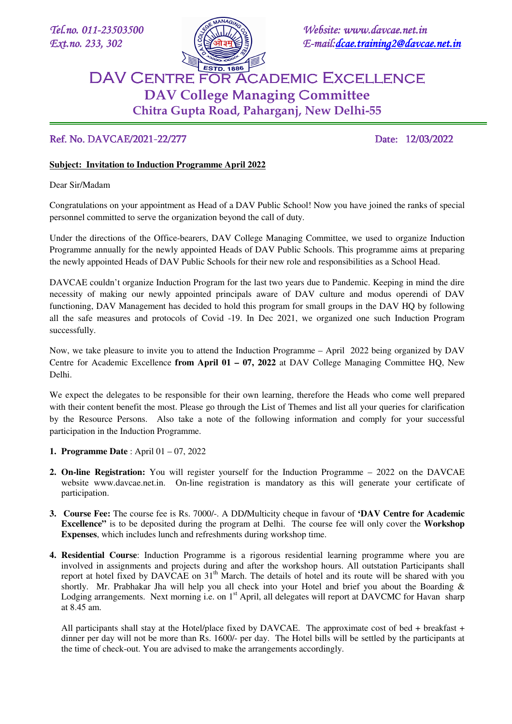

*Tel.no.* 011-23503500 **3503500 3503500 3503500 3503500** *3503500* **3503500** *3503500 Ext.no.* 233, 302  $\left[\frac{8}{3}\right]$  *E-mail: dcae.training2@davcae.net.in* 

## DAV Centre for Academic Excellence DAV Centre for Academic Excellence **DAV College** M**anaging** C**ommittee Chitra Gupta Road, Paharganj, New Delhi-55**

## Ref. No. DAVCAE/2021-22/277 Date: 12/03/2022

## **Subject: Invitation to Induction Programme April 2022**

Dear Sir/Madam

Ē

Congratulations on your appointment as Head of a DAV Public School! Now you have joined the ranks of special personnel committed to serve the organization beyond the call of duty.

Under the directions of the Office-bearers, DAV College Managing Committee, we used to organize Induction Programme annually for the newly appointed Heads of DAV Public Schools. This programme aims at preparing the newly appointed Heads of DAV Public Schools for their new role and responsibilities as a School Head.

DAVCAE couldn't organize Induction Program for the last two years due to Pandemic. Keeping in mind the dire necessity of making our newly appointed principals aware of DAV culture and modus operendi of DAV functioning, DAV Management has decided to hold this program for small groups in the DAV HQ by following all the safe measures and protocols of Covid -19. In Dec 2021, we organized one such Induction Program successfully.

Now, we take pleasure to invite you to attend the Induction Programme – April 2022 being organized by DAV Centre for Academic Excellence **from April 01 – 07, 2022** at DAV College Managing Committee HQ, New Delhi.

We expect the delegates to be responsible for their own learning, therefore the Heads who come well prepared with their content benefit the most. Please go through the List of Themes and list all your queries for clarification by the Resource Persons. Also take a note of the following information and comply for your successful participation in the Induction Programme.

- **1. Programme Date** : April 01 07, 2022
- **2. On-line Registration:** You will register yourself for the Induction Programme 2022 on the DAVCAE website www.davcae.net.in. On-line registration is mandatory as this will generate your certificate of participation.
- **3. Course Fee:** The course fee is Rs. 7000/-. A DD**/**Multicity cheque in favour of **'DAV Centre for Academic Excellence"** is to be deposited during the program at Delhi. The course fee will only cover the **Workshop Expenses**, which includes lunch and refreshments during workshop time.
- **4. Residential Course**: Induction Programme is a rigorous residential learning programme where you are involved in assignments and projects during and after the workshop hours. All outstation Participants shall report at hotel fixed by DAVCAE on 31<sup>th</sup> March. The details of hotel and its route will be shared with you shortly. Mr. Prabhakar Jha will help you all check into your Hotel and brief you about the Boarding & Lodging arrangements. Next morning i.e. on 1<sup>st</sup> April, all delegates will report at DAVCMC for Havan sharp at 8.45 am.

All participants shall stay at the Hotel/place fixed by DAVCAE. The approximate cost of bed + breakfast + dinner per day will not be more than Rs. 1600/- per day. The Hotel bills will be settled by the participants at the time of check-out. You are advised to make the arrangements accordingly.